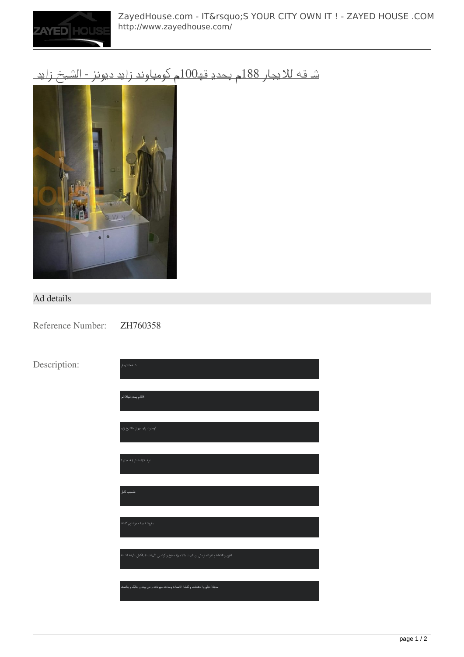

#### [شقه للايجار 188م بحديقه100م كومباوند زايد ديونز - الشيخ زايد](http://www.zayedhouse.com/properties/apartment/شقه-للايجار-188م-بحديقه100م-كومباوند-زايد-ديونز-الشيخ-زايد-769.html)



#### Ad details

Reference Number: ZH760358